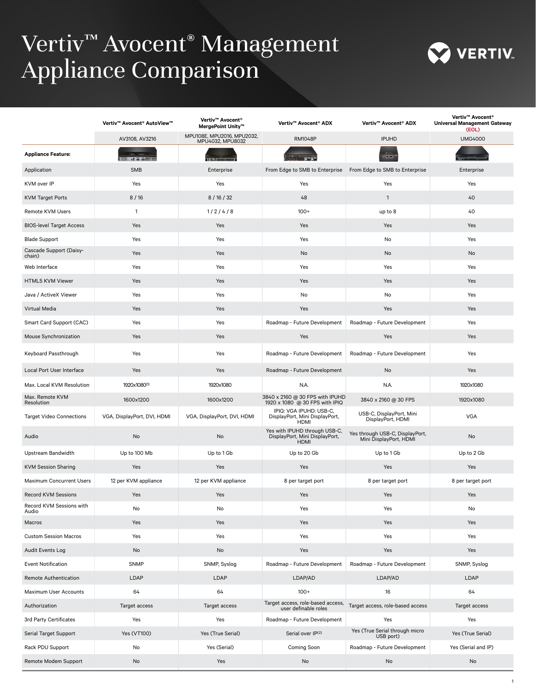## Vertiv™ Avocent® Management Appliance Comparison



|                                   | Vertiv™ Avocent® AutoView™  | Vertiv™ Avocent®<br>MergePoint Unity™          | Vertiv™ Avocent® ADX                                                           | Vertiv™ Avocent® ADX                                      | Vertiv™ Avocent®<br><b>Universal Management Gateway</b><br>(EOL) |
|-----------------------------------|-----------------------------|------------------------------------------------|--------------------------------------------------------------------------------|-----------------------------------------------------------|------------------------------------------------------------------|
|                                   | AV3108, AV3216              | MPU108E, MPU2016, MPU2032,<br>MPU4032, MPU8032 | <b>RM1048P</b>                                                                 | <b>IPUHD</b>                                              | <b>UMG4000</b>                                                   |
| <b>Appliance Feature:</b>         | <del>.</del>                |                                                |                                                                                | $-00$                                                     |                                                                  |
| Application                       | <b>SMB</b>                  | Enterprise                                     | From Edge to SMB to Enterprise From Edge to SMB to Enterprise                  |                                                           | Enterprise                                                       |
| KVM over IP                       | Yes                         | Yes                                            | Yes                                                                            | Yes                                                       | Yes                                                              |
| <b>KVM Target Ports</b>           | 8/16                        | 8/16/32                                        | 48                                                                             | $\mathbf{1}$                                              | 40                                                               |
| Remote KVM Users                  | $\mathbf{1}$                | 1/2/4/8                                        | $100+$                                                                         | up to 8                                                   | 40                                                               |
| <b>BIOS-level Target Access</b>   | Yes                         | Yes                                            | Yes                                                                            | Yes                                                       | Yes                                                              |
| <b>Blade Support</b>              | Yes                         | Yes                                            | Yes                                                                            | No                                                        | Yes                                                              |
| Cascade Support (Daisy-<br>chain) | Yes                         | Yes                                            | No                                                                             | No                                                        | No                                                               |
| Web Interface                     | Yes                         | Yes                                            | Yes                                                                            | Yes                                                       | Yes                                                              |
| <b>HTML5 KVM Viewer</b>           | Yes                         | Yes                                            | Yes                                                                            | Yes                                                       | Yes                                                              |
| Java / ActiveX Viewer             | Yes                         | Yes                                            | No                                                                             | No                                                        | Yes                                                              |
| Virtual Media                     | Yes                         | Yes                                            | Yes                                                                            | Yes                                                       | Yes                                                              |
| Smart Card Support (CAC)          | Yes                         | Yes                                            | Roadmap - Future Development                                                   | Roadmap - Future Development                              | Yes                                                              |
| Mouse Synchronization             | Yes                         | Yes                                            | Yes                                                                            | Yes                                                       | Yes                                                              |
| Keyboard Passthrough              | Yes                         | Yes                                            | Roadmap - Future Development                                                   | Roadmap - Future Development                              | Yes                                                              |
| Local Port User Interface         | Yes                         | Yes                                            | Roadmap - Future Development                                                   | No                                                        | Yes                                                              |
| Max. Local KVM Resolution         | 1920x1080 <sup>(1)</sup>    | 1920x1080                                      | N.A.                                                                           | N.A.                                                      | 1920x1080                                                        |
| Max. Remote KVM<br>Resolution     | 1600x1200                   | 1600x1200                                      | 3840 x 2160 @ 30 FPS with IPUHD<br>1920 x 1080 @ 30 FPS with IPIQ              | 3840 x 2160 @ 30 FPS                                      | 1920x1080                                                        |
| <b>Target Video Connections</b>   | VGA, DisplayPort, DVI, HDMI | VGA, DisplayPort, DVI, HDMI                    | IPIQ: VGA IPUHD: USB-C,<br>DisplayPort, Mini DisplayPort,<br><b>HDMI</b>       | USB-C, DisplayPort, Mini<br>DisplayPort, HDMI             | <b>VGA</b>                                                       |
| Audio                             | No                          | No                                             | Yes with IPUHD through USB-C,<br>DisplayPort, Mini DisplayPort,<br><b>HDMI</b> | Yes through USB-C, DisplayPort,<br>Mini DisplayPort, HDMI | No                                                               |
| Upstream Bandwidth                | Up to 100 Mb                | Up to 1 Gb                                     | Up to 20 Gb                                                                    | Up to 1 Gb                                                | Up to 2 Gb                                                       |
| <b>KVM Session Sharing</b>        | Yes                         | Yes                                            | Yes                                                                            | Yes                                                       | Yes                                                              |
| Maximum Concurrent Users          | 12 per KVM appliance        | 12 per KVM appliance                           | 8 per target port                                                              | 8 per target port                                         | 8 per target port                                                |
| <b>Record KVM Sessions</b>        | Yes                         | Yes                                            | Yes                                                                            | Yes                                                       | Yes                                                              |
| Record KVM Sessions with<br>Audio | NO                          | No                                             | Yes                                                                            | Yes                                                       | <b>NO</b>                                                        |
| <b>Macros</b>                     | Yes                         | Yes                                            | Yes                                                                            | Yes                                                       | Yes                                                              |
| <b>Custom Session Macros</b>      | Yes                         | Yes                                            | Yes                                                                            | Yes                                                       | Yes                                                              |
| Audit Events Log                  | No                          | No                                             | Yes                                                                            | Yes                                                       | Yes                                                              |
| <b>Event Notification</b>         | <b>SNMP</b>                 | SNMP, Syslog                                   | Roadmap - Future Development                                                   | Roadmap - Future Development                              | SNMP, Syslog                                                     |
| Remote Authentication             | LDAP                        | LDAP                                           | LDAP/AD                                                                        | LDAP/AD                                                   | LDAP                                                             |
| Maximum User Accounts             | 64                          | 64                                             | $100+$                                                                         | 16                                                        | 64                                                               |
| Authorization                     | Target access               | Target access                                  | Target access, role-based access,<br>user definable roles                      | Target access, role-based access                          | Target access                                                    |
| 3rd Party Certificates            | Yes                         | Yes                                            | Roadmap - Future Development                                                   | Yes                                                       | Yes                                                              |
| Serial Target Support             | Yes (VT100)                 | Yes (True Serial)                              | Serial over IP(2)                                                              | Yes (True Serial through micro<br>USB port)               | Yes (True Serial)                                                |
| Rack PDU Support                  | No                          | Yes (Serial)                                   | Coming Soon                                                                    | Roadmap - Future Development                              | Yes (Serial and IP)                                              |
| Remote Modem Support              | No                          | Yes                                            | No                                                                             | No                                                        | No                                                               |